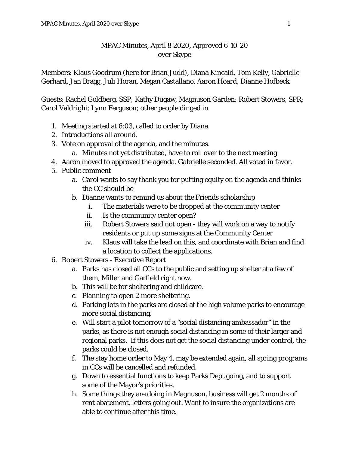## MPAC Minutes, April 8 2020, Approved 6-10-20 over Skype

Members: Klaus Goodrum (here for Brian Judd), Diana Kincaid, Tom Kelly, Gabrielle Gerhard, Jan Bragg, Juli Horan, Megan Castallano, Aaron Hoard, Dianne Hofbeck

Guests: Rachel Goldberg, SSP; Kathy Dugaw, Magnuson Garden; Robert Stowers, SPR; Carol Valdrighi; Lynn Ferguson; other people dinged in

- 1. Meeting started at 6:03, called to order by Diana.
- 2. Introductions all around.
- 3. Vote on approval of the agenda, and the minutes.
	- a. Minutes not yet distributed, have to roll over to the next meeting
- 4. Aaron moved to approved the agenda. Gabrielle seconded. All voted in favor.
- 5. Public comment
	- a. Carol wants to say thank you for putting equity on the agenda and thinks the CC should be
	- b. Dianne wants to remind us about the Friends scholarship
		- i. The materials were to be dropped at the community center
		- ii. Is the community center open?
		- iii. Robert Stowers said not open they will work on a way to notify residents or put up some signs at the Community Center
		- iv. Klaus will take the lead on this, and coordinate with Brian and find a location to collect the applications.
- 6. Robert Stowers Executive Report
	- a. Parks has closed all CCs to the public and setting up shelter at a few of them, Miller and Garfield right now.
	- b. This will be for sheltering and childcare.
	- c. Planning to open 2 more sheltering.
	- d. Parking lots in the parks are closed at the high volume parks to encourage more social distancing.
	- e. Will start a pilot tomorrow of a "social distancing ambassador" in the parks, as there is not enough social distancing in some of their larger and regional parks. If this does not get the social distancing under control, the parks could be closed.
	- f. The stay home order to May 4, may be extended again, all spring programs in CCs will be cancelled and refunded.
	- g. Down to essential functions to keep Parks Dept going, and to support some of the Mayor's priorities.
	- h. Some things they are doing in Magnuson, business will get 2 months of rent abatement, letters going out. Want to insure the organizations are able to continue after this time.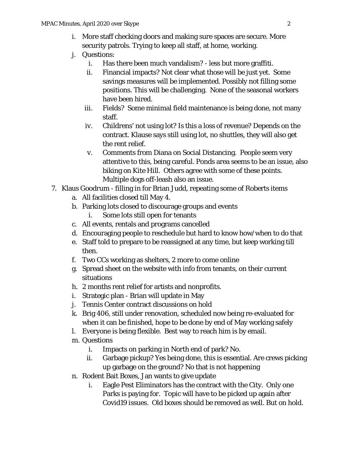- i. More staff checking doors and making sure spaces are secure. More security patrols. Trying to keep all staff, at home, working.
- j. Questions:
	- i. Has there been much vandalism? less but more graffiti.
	- ii. Financial impacts? Not clear what those will be just yet. Some savings measures will be implemented. Possibly not filling some positions. This will be challenging. None of the seasonal workers have been hired.
	- iii. Fields? Some minimal field maintenance is being done, not many staff.
	- iv. Childrens' not using lot? Is this a loss of revenue? Depends on the contract. Klause says still using lot, no shuttles, they will also get the rent relief.
	- v. Comments from Diana on Social Distancing. People seem very attentive to this, being careful. Ponds area seems to be an issue, also biking on Kite Hill. Others agree with some of these points. Multiple dogs off-leash also an issue.
- 7. Klaus Goodrum filling in for Brian Judd, repeating some of Roberts items
	- a. All facilities closed till May 4.
	- b. Parking lots closed to discourage groups and events
		- i. Some lots still open for tenants
	- c. All events, rentals and programs cancelled
	- d. Encouraging people to reschedule but hard to know how/when to do that
	- e. Staff told to prepare to be reassigned at any time, but keep working till then.
	- f. Two CCs working as shelters, 2 more to come online
	- g. Spread sheet on the website with info from tenants, on their current situations
	- h. 2 months rent relief for artists and nonprofits.
	- i. Strategic plan Brian will update in May
	- j. Tennis Center contract discussions on hold
	- k. Brig 406, still under renovation, scheduled now being re-evaluated for when it can be finished, hope to be done by end of May working safely
	- l. Everyone is being flexible. Best way to reach him is by email.
	- m. Questions
		- i. Impacts on parking in North end of park? No.
		- ii. Garbage pickup? Yes being done, this is essential. Are crews picking up garbage on the ground? No that is not happening
	- n. Rodent Bait Boxes, Jan wants to give update
		- i. Eagle Pest Eliminators has the contract with the City. Only one Parks is paying for. Topic will have to be picked up again after Covid19 issues. Old boxes should be removed as well. But on hold.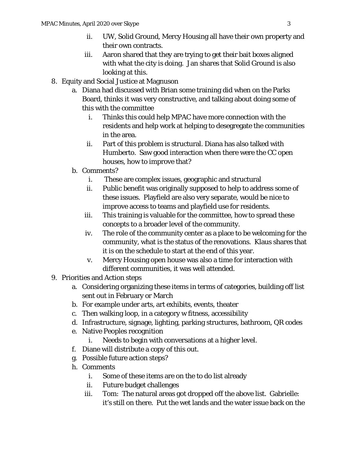- ii. UW, Solid Ground, Mercy Housing all have their own property and their own contracts.
- iii. Aaron shared that they are trying to get their bait boxes aligned with what the city is doing. Jan shares that Solid Ground is also looking at this.
- 8. Equity and Social Justice at Magnuson
	- a. Diana had discussed with Brian some training did when on the Parks Board, thinks it was very constructive, and talking about doing some of this with the committee
		- i. Thinks this could help MPAC have more connection with the residents and help work at helping to desegregate the communities in the area.
		- ii. Part of this problem is structural. Diana has also talked with Humberto. Saw good interaction when there were the CC open houses, how to improve that?
	- b. Comments?
		- i. These are complex issues, geographic and structural
		- ii. Public benefit was originally supposed to help to address some of these issues. Playfield are also very separate, would be nice to improve access to teams and playfield use for residents.
		- iii. This training is valuable for the committee, how to spread these concepts to a broader level of the community.
		- iv. The role of the community center as a place to be welcoming for the community, what is the status of the renovations. Klaus shares that it is on the schedule to start at the end of this year.
		- v. Mercy Housing open house was also a time for interaction with different communities, it was well attended.
- 9. Priorities and Action steps
	- a. Considering organizing these items in terms of categories, building off list sent out in February or March
	- b. For example under arts, art exhibits, events, theater
	- c. Then walking loop, in a category w fitness, accessibility
	- d. Infrastructure, signage, lighting, parking structures, bathroom, QR codes
	- e. Native Peoples recognition
		- i. Needs to begin with conversations at a higher level.
	- f. Diane will distribute a copy of this out.
	- g. Possible future action steps?
	- h. Comments
		- i. Some of these items are on the to do list already
		- ii. Future budget challenges
		- iii. Tom: The natural areas got dropped off the above list. Gabrielle: it's still on there. Put the wet lands and the water issue back on the